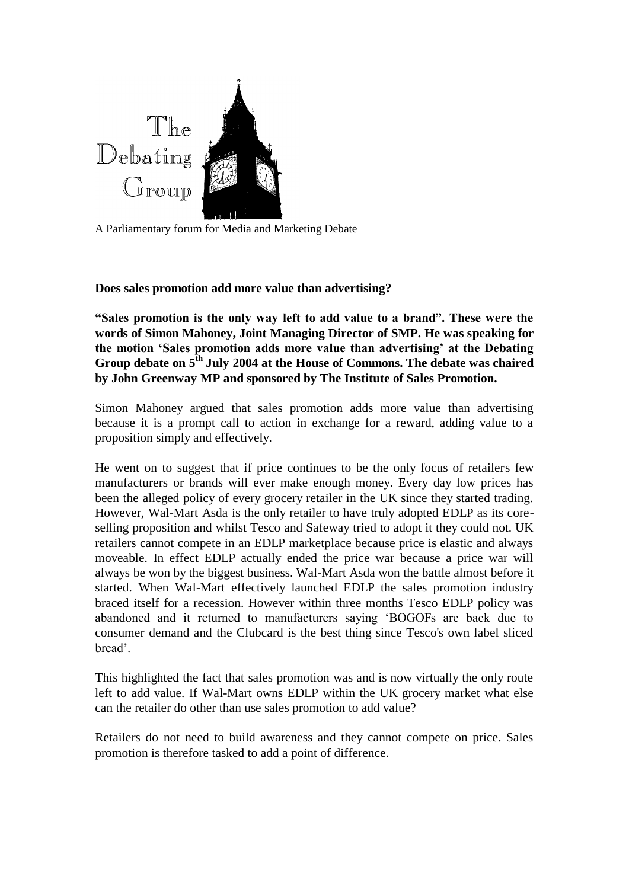

A Parliamentary forum for Media and Marketing Debate

## **Does sales promotion add more value than advertising?**

**"Sales promotion is the only way left to add value to a brand". These were the words of Simon Mahoney, Joint Managing Director of SMP. He was speaking for the motion 'Sales promotion adds more value than advertising' at the Debating Group debate on 5th July 2004 at the House of Commons. The debate was chaired by John Greenway MP and sponsored by The Institute of Sales Promotion.**

Simon Mahoney argued that sales promotion adds more value than advertising because it is a prompt call to action in exchange for a reward, adding value to a proposition simply and effectively.

He went on to suggest that if price continues to be the only focus of retailers few manufacturers or brands will ever make enough money. Every day low prices has been the alleged policy of every grocery retailer in the UK since they started trading. However, Wal-Mart Asda is the only retailer to have truly adopted EDLP as its coreselling proposition and whilst Tesco and Safeway tried to adopt it they could not. UK retailers cannot compete in an EDLP marketplace because price is elastic and always moveable. In effect EDLP actually ended the price war because a price war will always be won by the biggest business. Wal-Mart Asda won the battle almost before it started. When Wal-Mart effectively launched EDLP the sales promotion industry braced itself for a recession. However within three months Tesco EDLP policy was abandoned and it returned to manufacturers saying 'BOGOFs are back due to consumer demand and the Clubcard is the best thing since Tesco's own label sliced bread'.

This highlighted the fact that sales promotion was and is now virtually the only route left to add value. If Wal-Mart owns EDLP within the UK grocery market what else can the retailer do other than use sales promotion to add value?

Retailers do not need to build awareness and they cannot compete on price. Sales promotion is therefore tasked to add a point of difference.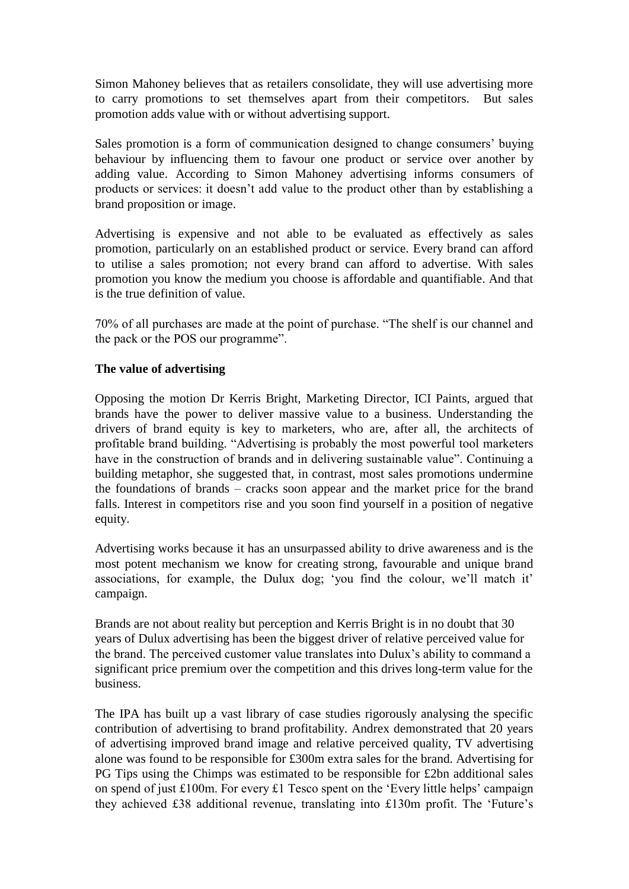Simon Mahoney believes that as retailers consolidate, they will use advertising more to carry promotions to set themselves apart from their competitors. But sales promotion adds value with or without advertising support.

Sales promotion is a form of communication designed to change consumers' buying behaviour by influencing them to favour one product or service over another by adding value. According to Simon Mahoney advertising informs consumers of products or services: it doesn't add value to the product other than by establishing a brand proposition or image.

Advertising is expensive and not able to be evaluated as effectively as sales promotion, particularly on an established product or service. Every brand can afford to utilise a sales promotion; not every brand can afford to advertise. With sales promotion you know the medium you choose is affordable and quantifiable. And that is the true definition of value.

70% of all purchases are made at the point of purchase. "The shelf is our channel and the pack or the POS our programme".

## **The value of advertising**

Opposing the motion Dr Kerris Bright, Marketing Director, ICI Paints, argued that brands have the power to deliver massive value to a business. Understanding the drivers of brand equity is key to marketers, who are, after all, the architects of profitable brand building. "Advertising is probably the most powerful tool marketers have in the construction of brands and in delivering sustainable value". Continuing a building metaphor, she suggested that, in contrast, most sales promotions undermine the foundations of brands – cracks soon appear and the market price for the brand falls. Interest in competitors rise and you soon find yourself in a position of negative equity.

Advertising works because it has an unsurpassed ability to drive awareness and is the most potent mechanism we know for creating strong, favourable and unique brand associations, for example, the Dulux dog; 'you find the colour, we'll match it' campaign.

Brands are not about reality but perception and Kerris Bright is in no doubt that 30 years of Dulux advertising has been the biggest driver of relative perceived value for the brand. The perceived customer value translates into Dulux's ability to command a significant price premium over the competition and this drives long-term value for the business.

The IPA has built up a vast library of case studies rigorously analysing the specific contribution of advertising to brand profitability. Andrex demonstrated that 20 years of advertising improved brand image and relative perceived quality, TV advertising alone was found to be responsible for £300m extra sales for the brand. Advertising for PG Tips using the Chimps was estimated to be responsible for £2bn additional sales on spend of just £100m. For every £1 Tesco spent on the 'Every little helps' campaign they achieved £38 additional revenue, translating into £130m profit. The 'Future's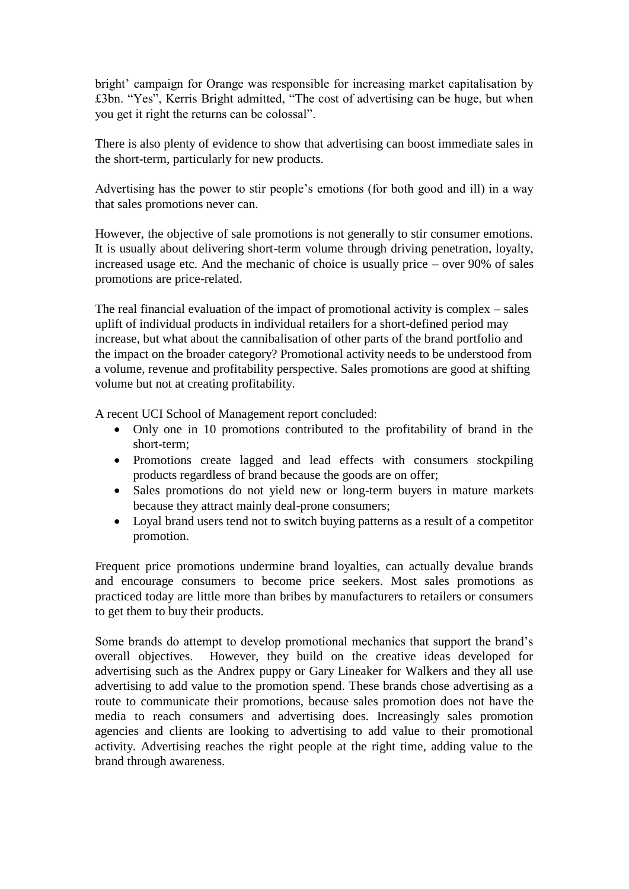bright' campaign for Orange was responsible for increasing market capitalisation by £3bn. "Yes", Kerris Bright admitted, "The cost of advertising can be huge, but when you get it right the returns can be colossal".

There is also plenty of evidence to show that advertising can boost immediate sales in the short-term, particularly for new products.

Advertising has the power to stir people's emotions (for both good and ill) in a way that sales promotions never can.

However, the objective of sale promotions is not generally to stir consumer emotions. It is usually about delivering short-term volume through driving penetration, loyalty, increased usage etc. And the mechanic of choice is usually price – over 90% of sales promotions are price-related.

The real financial evaluation of the impact of promotional activity is complex – sales uplift of individual products in individual retailers for a short-defined period may increase, but what about the cannibalisation of other parts of the brand portfolio and the impact on the broader category? Promotional activity needs to be understood from a volume, revenue and profitability perspective. Sales promotions are good at shifting volume but not at creating profitability.

A recent UCI School of Management report concluded:

- Only one in 10 promotions contributed to the profitability of brand in the short-term;
- Promotions create lagged and lead effects with consumers stockpiling products regardless of brand because the goods are on offer;
- Sales promotions do not yield new or long-term buyers in mature markets because they attract mainly deal-prone consumers;
- Loyal brand users tend not to switch buying patterns as a result of a competitor promotion.

Frequent price promotions undermine brand loyalties, can actually devalue brands and encourage consumers to become price seekers. Most sales promotions as practiced today are little more than bribes by manufacturers to retailers or consumers to get them to buy their products.

Some brands do attempt to develop promotional mechanics that support the brand's overall objectives. However, they build on the creative ideas developed for advertising such as the Andrex puppy or Gary Lineaker for Walkers and they all use advertising to add value to the promotion spend. These brands chose advertising as a route to communicate their promotions, because sales promotion does not have the media to reach consumers and advertising does. Increasingly sales promotion agencies and clients are looking to advertising to add value to their promotional activity. Advertising reaches the right people at the right time, adding value to the brand through awareness.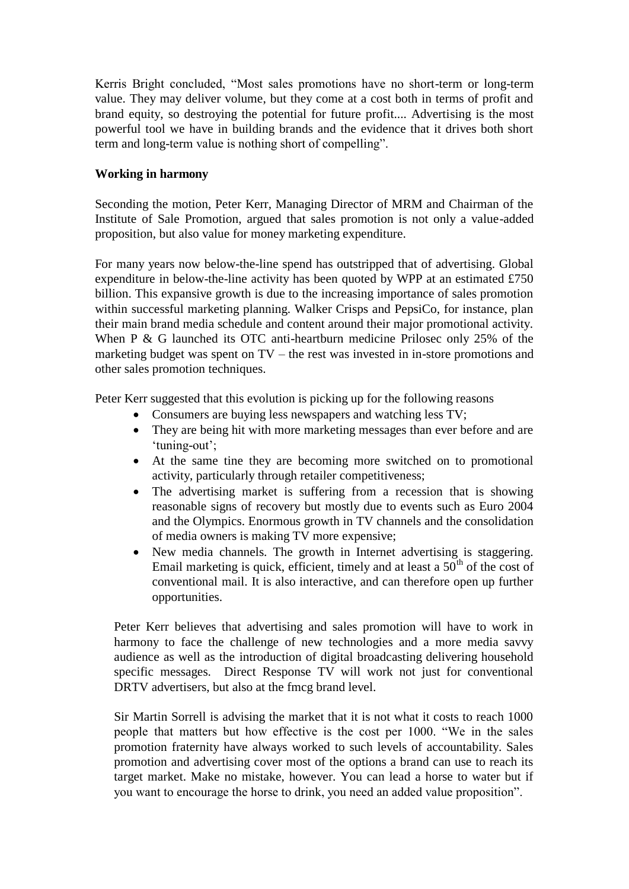Kerris Bright concluded, "Most sales promotions have no short-term or long-term value. They may deliver volume, but they come at a cost both in terms of profit and brand equity, so destroying the potential for future profit.... Advertising is the most powerful tool we have in building brands and the evidence that it drives both short term and long-term value is nothing short of compelling".

## **Working in harmony**

Seconding the motion, Peter Kerr, Managing Director of MRM and Chairman of the Institute of Sale Promotion, argued that sales promotion is not only a value-added proposition, but also value for money marketing expenditure.

For many years now below-the-line spend has outstripped that of advertising. Global expenditure in below-the-line activity has been quoted by WPP at an estimated £750 billion. This expansive growth is due to the increasing importance of sales promotion within successful marketing planning. Walker Crisps and PepsiCo, for instance, plan their main brand media schedule and content around their major promotional activity. When P & G launched its OTC anti-heartburn medicine Prilosec only 25% of the marketing budget was spent on TV – the rest was invested in in-store promotions and other sales promotion techniques.

Peter Kerr suggested that this evolution is picking up for the following reasons

- Consumers are buying less newspapers and watching less TV;
- They are being hit with more marketing messages than ever before and are 'tuning-out';
- At the same tine they are becoming more switched on to promotional activity, particularly through retailer competitiveness;
- The advertising market is suffering from a recession that is showing reasonable signs of recovery but mostly due to events such as Euro 2004 and the Olympics. Enormous growth in TV channels and the consolidation of media owners is making TV more expensive;
- New media channels. The growth in Internet advertising is staggering. Email marketing is quick, efficient, timely and at least a  $50<sup>th</sup>$  of the cost of conventional mail. It is also interactive, and can therefore open up further opportunities.

Peter Kerr believes that advertising and sales promotion will have to work in harmony to face the challenge of new technologies and a more media savvy audience as well as the introduction of digital broadcasting delivering household specific messages. Direct Response TV will work not just for conventional DRTV advertisers, but also at the fmcg brand level.

Sir Martin Sorrell is advising the market that it is not what it costs to reach 1000 people that matters but how effective is the cost per 1000. "We in the sales promotion fraternity have always worked to such levels of accountability. Sales promotion and advertising cover most of the options a brand can use to reach its target market. Make no mistake, however. You can lead a horse to water but if you want to encourage the horse to drink, you need an added value proposition".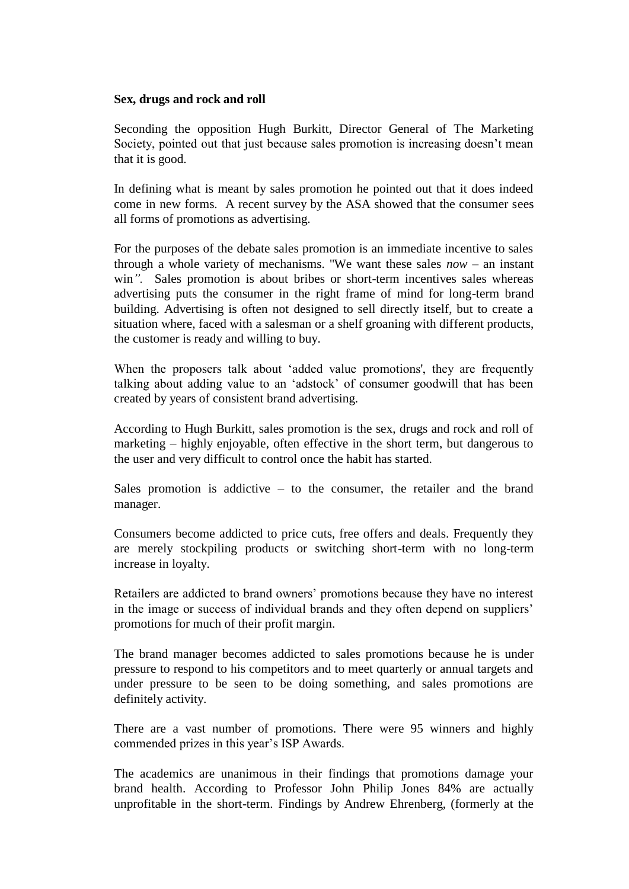#### **Sex, drugs and rock and roll**

Seconding the opposition Hugh Burkitt, Director General of The Marketing Society, pointed out that just because sales promotion is increasing doesn't mean that it is good.

In defining what is meant by sales promotion he pointed out that it does indeed come in new forms. A recent survey by the ASA showed that the consumer sees all forms of promotions as advertising.

For the purposes of the debate sales promotion is an immediate incentive to sales through a whole variety of mechanisms. "We want these sales *now* – an instant win*".* Sales promotion is about bribes or short-term incentives sales whereas advertising puts the consumer in the right frame of mind for long-term brand building. Advertising is often not designed to sell directly itself, but to create a situation where, faced with a salesman or a shelf groaning with different products, the customer is ready and willing to buy.

When the proposers talk about 'added value promotions', they are frequently talking about adding value to an 'adstock' of consumer goodwill that has been created by years of consistent brand advertising.

According to Hugh Burkitt, sales promotion is the sex, drugs and rock and roll of marketing – highly enjoyable, often effective in the short term, but dangerous to the user and very difficult to control once the habit has started.

Sales promotion is addictive – to the consumer, the retailer and the brand manager.

Consumers become addicted to price cuts, free offers and deals. Frequently they are merely stockpiling products or switching short-term with no long-term increase in loyalty.

Retailers are addicted to brand owners' promotions because they have no interest in the image or success of individual brands and they often depend on suppliers' promotions for much of their profit margin.

The brand manager becomes addicted to sales promotions because he is under pressure to respond to his competitors and to meet quarterly or annual targets and under pressure to be seen to be doing something, and sales promotions are definitely activity.

There are a vast number of promotions. There were 95 winners and highly commended prizes in this year's ISP Awards.

The academics are unanimous in their findings that promotions damage your brand health. According to Professor John Philip Jones 84% are actually unprofitable in the short-term. Findings by Andrew Ehrenberg, (formerly at the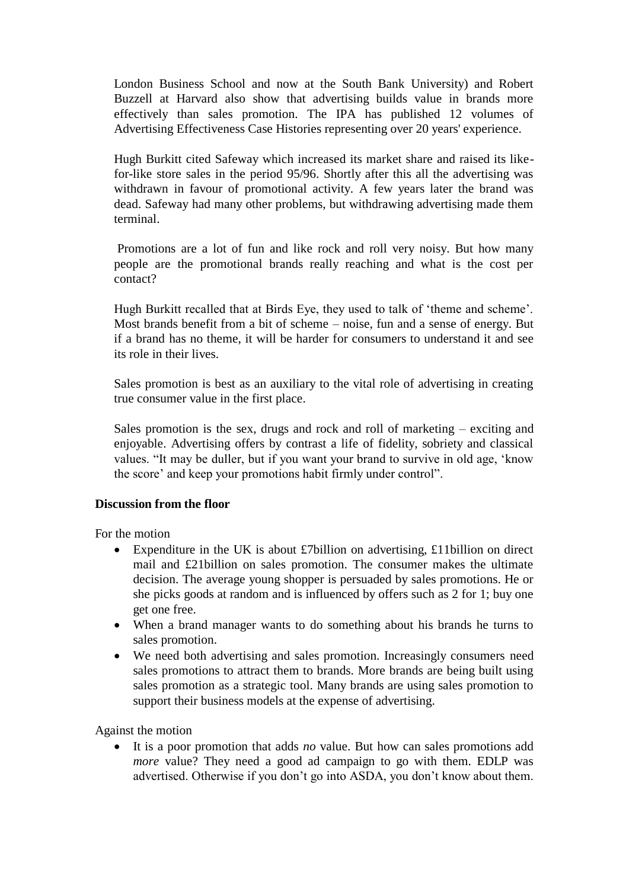London Business School and now at the South Bank University) and Robert Buzzell at Harvard also show that advertising builds value in brands more effectively than sales promotion. The IPA has published 12 volumes of Advertising Effectiveness Case Histories representing over 20 years' experience.

Hugh Burkitt cited Safeway which increased its market share and raised its likefor-like store sales in the period 95/96. Shortly after this all the advertising was withdrawn in favour of promotional activity. A few years later the brand was dead. Safeway had many other problems, but withdrawing advertising made them terminal.

Promotions are a lot of fun and like rock and roll very noisy. But how many people are the promotional brands really reaching and what is the cost per contact?

Hugh Burkitt recalled that at Birds Eye, they used to talk of 'theme and scheme'. Most brands benefit from a bit of scheme – noise, fun and a sense of energy. But if a brand has no theme, it will be harder for consumers to understand it and see its role in their lives.

Sales promotion is best as an auxiliary to the vital role of advertising in creating true consumer value in the first place.

Sales promotion is the sex, drugs and rock and roll of marketing – exciting and enjoyable. Advertising offers by contrast a life of fidelity, sobriety and classical values. "It may be duller, but if you want your brand to survive in old age, 'know the score' and keep your promotions habit firmly under control".

### **Discussion from the floor**

For the motion

- Expenditure in the UK is about £7billion on advertising, £11billion on direct mail and £21billion on sales promotion. The consumer makes the ultimate decision. The average young shopper is persuaded by sales promotions. He or she picks goods at random and is influenced by offers such as 2 for 1; buy one get one free.
- When a brand manager wants to do something about his brands he turns to sales promotion.
- We need both advertising and sales promotion. Increasingly consumers need sales promotions to attract them to brands. More brands are being built using sales promotion as a strategic tool. Many brands are using sales promotion to support their business models at the expense of advertising.

Against the motion

 It is a poor promotion that adds *no* value. But how can sales promotions add *more* value? They need a good ad campaign to go with them. EDLP was advertised. Otherwise if you don't go into ASDA, you don't know about them.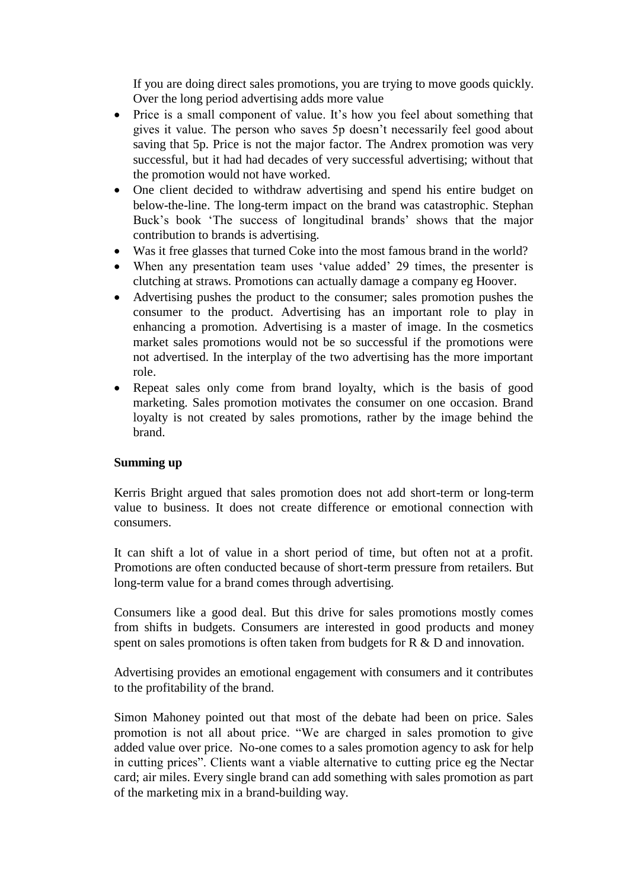If you are doing direct sales promotions, you are trying to move goods quickly. Over the long period advertising adds more value

- Price is a small component of value. It's how you feel about something that gives it value. The person who saves 5p doesn't necessarily feel good about saving that 5p. Price is not the major factor. The Andrex promotion was very successful, but it had had decades of very successful advertising; without that the promotion would not have worked.
- One client decided to withdraw advertising and spend his entire budget on below-the-line. The long-term impact on the brand was catastrophic. Stephan Buck's book 'The success of longitudinal brands' shows that the major contribution to brands is advertising.
- Was it free glasses that turned Coke into the most famous brand in the world?
- When any presentation team uses 'value added' 29 times, the presenter is clutching at straws. Promotions can actually damage a company eg Hoover.
- Advertising pushes the product to the consumer; sales promotion pushes the consumer to the product. Advertising has an important role to play in enhancing a promotion. Advertising is a master of image. In the cosmetics market sales promotions would not be so successful if the promotions were not advertised. In the interplay of the two advertising has the more important role.
- Repeat sales only come from brand loyalty, which is the basis of good marketing. Sales promotion motivates the consumer on one occasion. Brand loyalty is not created by sales promotions, rather by the image behind the brand.

### **Summing up**

Kerris Bright argued that sales promotion does not add short-term or long-term value to business. It does not create difference or emotional connection with consumers.

It can shift a lot of value in a short period of time, but often not at a profit. Promotions are often conducted because of short-term pressure from retailers. But long-term value for a brand comes through advertising.

Consumers like a good deal. But this drive for sales promotions mostly comes from shifts in budgets. Consumers are interested in good products and money spent on sales promotions is often taken from budgets for R & D and innovation.

Advertising provides an emotional engagement with consumers and it contributes to the profitability of the brand.

Simon Mahoney pointed out that most of the debate had been on price. Sales promotion is not all about price. "We are charged in sales promotion to give added value over price. No-one comes to a sales promotion agency to ask for help in cutting prices". Clients want a viable alternative to cutting price eg the Nectar card; air miles. Every single brand can add something with sales promotion as part of the marketing mix in a brand-building way.